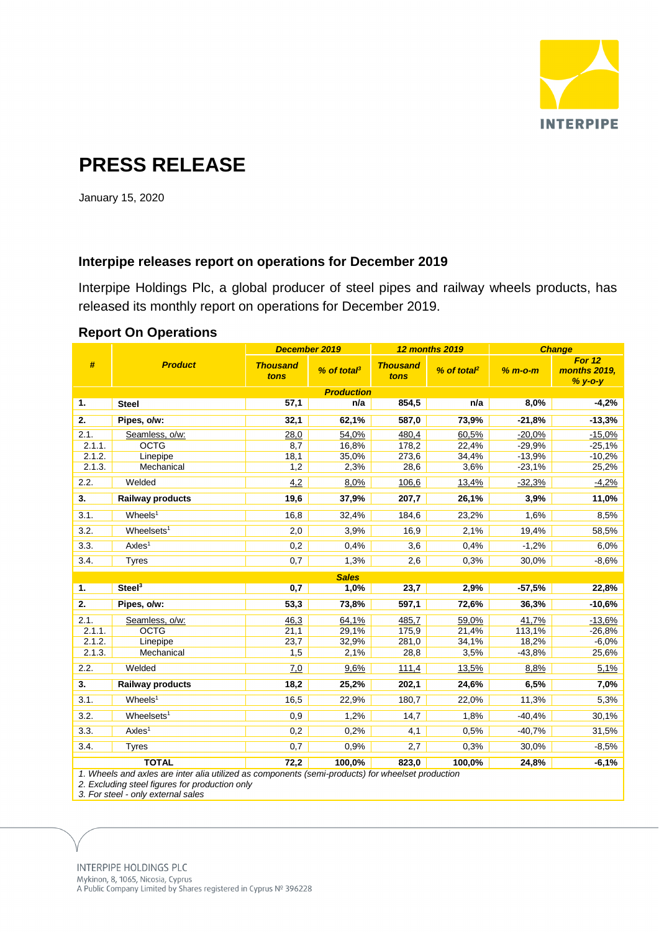

# **PRESS RELEASE**

January 15, 2020

### **Interpipe releases report on operations for December 2019**

Interpipe Holdings Plc, a global producer of steel pipes and railway wheels products, has released its monthly report on operations for December 2019.

| #                                                                                                 | <b>Product</b>            | December 2019           |                     | <b>12 months 2019</b>   |                         | <b>Change</b> |                                   |
|---------------------------------------------------------------------------------------------------|---------------------------|-------------------------|---------------------|-------------------------|-------------------------|---------------|-----------------------------------|
|                                                                                                   |                           | <b>Thousand</b><br>tons | $%$ of tota $\beta$ | <b>Thousand</b><br>tons | % of total <sup>2</sup> | $% m$ -o-m    | For 12<br>months 2019,<br>% y-o-y |
| <b>Production</b>                                                                                 |                           |                         |                     |                         |                         |               |                                   |
| 1.                                                                                                | <b>Steel</b>              | 57,1                    | n/a                 | 854,5                   | n/a                     | 8,0%          | $-4,2%$                           |
| 2.                                                                                                | Pipes, o/w:               | 32,1                    | 62,1%               | 587,0                   | 73,9%                   | $-21,8%$      | $-13,3%$                          |
| 2.1.                                                                                              | Seamless, o/w:            | 28,0                    | 54,0%               | 480,4                   | 60,5%                   | $-20,0%$      | $-15,0%$                          |
| 2.1.1.                                                                                            | <b>OCTG</b>               | 8,7                     | 16,8%               | 178,2                   | 22,4%                   | $-29.9%$      | $-25,1%$                          |
| 2.1.2.                                                                                            | Linepipe                  | 18,1                    | 35,0%               | 273,6                   | 34,4%                   | $-13.9%$      | $-10,2%$                          |
| 2.1.3.                                                                                            | Mechanical                | 1,2                     | 2,3%                | 28,6                    | 3,6%                    | $-23,1%$      | 25,2%                             |
| 2.2.                                                                                              | Welded                    | 4,2                     | 8,0%                | 106,6                   | 13,4%                   | $-32,3%$      | $-4,2%$                           |
| 3.                                                                                                | <b>Railway products</b>   | 19,6                    | 37,9%               | 207,7                   | 26,1%                   | 3,9%          | 11,0%                             |
| 3.1.                                                                                              | $W$ heels <sup>1</sup>    | 16,8                    | 32,4%               | 184,6                   | 23,2%                   | 1,6%          | 8,5%                              |
| 3.2.                                                                                              | $W$ heelsets <sup>1</sup> | 2,0                     | 3,9%                | 16,9                    | 2,1%                    | 19,4%         | 58,5%                             |
| 3.3.                                                                                              | Axles <sup>1</sup>        | 0,2                     | 0.4%                | 3,6                     | 0,4%                    | $-1,2%$       | 6,0%                              |
| 3.4.                                                                                              | <b>Tyres</b>              | 0,7                     | 1,3%                | 2,6                     | 0,3%                    | 30,0%         | $-8,6%$                           |
| <b>Sales</b>                                                                                      |                           |                         |                     |                         |                         |               |                                   |
| 1.                                                                                                | Steel <sup>3</sup>        | 0,7                     | 1,0%                | 23,7                    | 2,9%                    | $-57,5%$      | 22,8%                             |
| 2.                                                                                                | Pipes, o/w:               | 53,3                    | 73,8%               | 597,1                   | 72,6%                   | 36,3%         | $-10,6%$                          |
| 2.1.                                                                                              | Seamless, o/w:            | 46,3                    | 64,1%               | 485,7                   | 59,0%                   | 41,7%         | $-13.6%$                          |
| 2.1.1.                                                                                            | <b>OCTG</b>               | 21,1                    | 29,1%               | 175,9                   | 21,4%                   | 113,1%        | $-26,8%$                          |
| 2.1.2.                                                                                            | Linepipe                  | 23,7                    | 32,9%               | 281,0                   | 34,1%                   | 18,2%         | $-6,0%$                           |
| 2.1.3.                                                                                            | Mechanical                | 1,5                     | 2,1%                | 28,8                    | 3,5%                    | $-43,8%$      | 25,6%                             |
| 2.2.                                                                                              | Welded                    | 7.0                     | 9,6%                | 111,4                   | 13,5%                   | 8,8%          | 5,1%                              |
| 3.                                                                                                | <b>Railway products</b>   | 18,2                    | 25,2%               | 202,1                   | 24,6%                   | 6,5%          | 7,0%                              |
| 3.1.                                                                                              | $W$ heels <sup>1</sup>    | 16,5                    | 22,9%               | 180,7                   | 22,0%                   | 11,3%         | 5,3%                              |
| 3.2.                                                                                              | $W$ heelsets <sup>1</sup> | 0,9                     | 1,2%                | 14,7                    | 1,8%                    | $-40,4%$      | 30,1%                             |
| 3.3.                                                                                              | Axles <sup>1</sup>        | 0.2                     | 0,2%                | 4,1                     | 0,5%                    | $-40,7%$      | 31,5%                             |
| 3.4.                                                                                              | <b>Tyres</b>              | 0,7                     | 0,9%                | 2,7                     | 0,3%                    | 30,0%         | $-8,5%$                           |
| <b>TOTAL</b><br>72,2<br>100,0%<br>823,0<br>100,0%<br>24,8%<br>$-6,1%$                             |                           |                         |                     |                         |                         |               |                                   |
| 1. Wheels and axles are inter alia utilized as components (semi-products) for wheelset production |                           |                         |                     |                         |                         |               |                                   |

#### **Report On Operations**

*1. Wheels and axles are inter alia utilized as components (semi-products) for wheelset production*

*2. Excluding steel figures for production only*

*3. For steel - only external sales*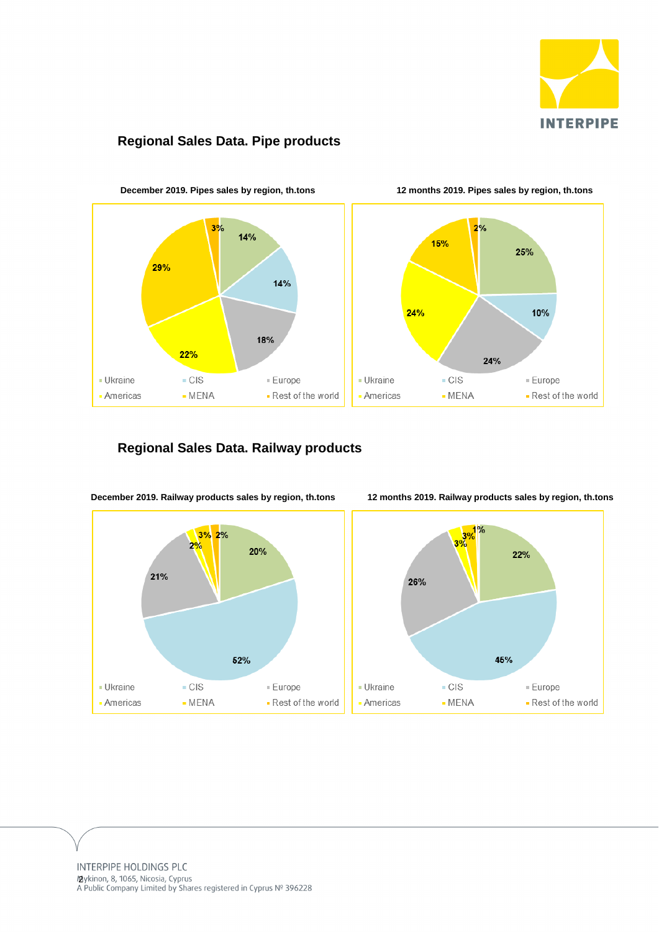

# **Regional Sales Data. Pipe products**



# **Regional Sales Data. Railway products**